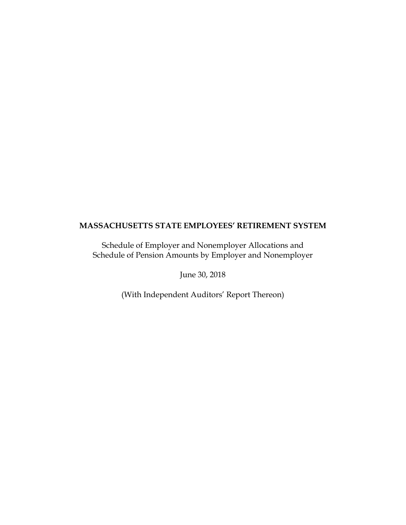Schedule of Employer and Nonemployer Allocations and Schedule of Pension Amounts by Employer and Nonemployer

June 30, 2018

(With Independent Auditors' Report Thereon)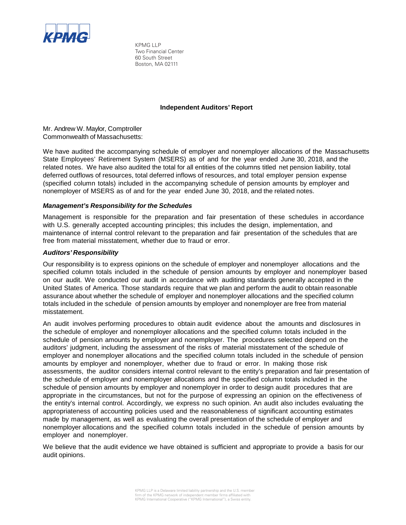

KPMG LLP Two Financial Center 60 South Street Boston, MA 02111

## **Independent Auditors' Report**

Mr. Andrew W. Maylor, Comptroller Commonwealth of Massachusetts:

We have audited the accompanying schedule of employer and nonemployer allocations of the Massachusetts State Employees' Retirement System (MSERS) as of and for the year ended June 30, 2018, and the related notes. We have also audited the total for all entities of the columns titled net pension liability, total deferred outflows of resources, total deferred inflows of resources, and total employer pension expense (specified column totals) included in the accompanying schedule of pension amounts by employer and nonemployer of MSERS as of and for the year ended June 30, 2018, and the related notes.

## *Management's Responsibility for the Schedules*

Management is responsible for the preparation and fair presentation of these schedules in accordance with U.S. generally accepted accounting principles; this includes the design, implementation, and maintenance of internal control relevant to the preparation and fair presentation of the schedules that are free from material misstatement, whether due to fraud or error.

## *Auditors' Responsibility*

Our responsibility is to express opinions on the schedule of employer and nonemployer allocations and the specified column totals included in the schedule of pension amounts by employer and nonemployer based on our audit. We conducted our audit in accordance with auditing standards generally accepted in the United States of America. Those standards require that we plan and perform the audit to obtain reasonable assurance about whether the schedule of employer and nonemployer allocations and the specified column totals included in the schedule of pension amounts by employer and nonemployer are free from material misstatement.

An audit involves performing procedures to obtain audit evidence about the amounts and disclosures in the schedule of employer and nonemployer allocations and the specified column totals included in the schedule of pension amounts by employer and nonemployer. The procedures selected depend on the auditors' judgment, including the assessment of the risks of material misstatement of the schedule of employer and nonemployer allocations and the specified column totals included in the schedule of pension amounts by employer and nonemployer, whether due to fraud or error. In making those risk assessments, the auditor considers internal control relevant to the entity's preparation and fair presentation of the schedule of employer and nonemployer allocations and the specified column totals included in the schedule of pension amounts by employer and nonemployer in order to design audit procedures that are appropriate in the circumstances, but not for the purpose of expressing an opinion on the effectiveness of the entity's internal control. Accordingly, we express no such opinion. An audit also includes evaluating the appropriateness of accounting policies used and the reasonableness of significant accounting estimates made by management, as well as evaluating the overall presentation of the schedule of employer and nonemployer allocations and the specified column totals included in the schedule of pension amounts by employer and nonemployer.

We believe that the audit evidence we have obtained is sufficient and appropriate to provide a basis for our audit opinions.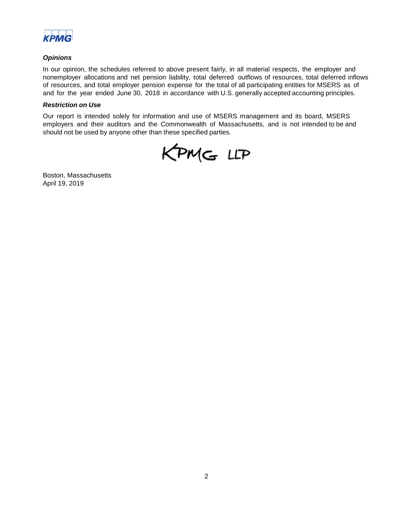

## *Opinions*

In our opinion, the schedules referred to above present fairly, in all material respects, the employer and nonemployer allocations and net pension liability, total deferred outflows of resources, total deferred inflows of resources, and total employer pension expense for the total of all participating entities for MSERS as of and for the year ended June 30, 2018 in accordance with U.S. generally accepted accounting principles.

### *Restriction on Use*

Our report is intended solely for information and use of MSERS management and its board, MSERS employers and their auditors and the Commonwealth of Massachusetts, and is not intended to be and should not be used by anyone other than these specified parties.

KPMG LLP

Boston, Massachusetts April 19, 2019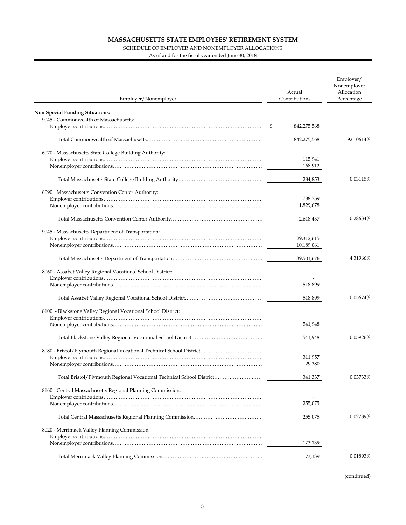#### SCHEDULE OF EMPLOYER AND NONEMPLOYER ALLOCATIONS

As of and for the fiscal year ended June 30, 2018

| Employer/Nonemployer                                                 | Actual<br>Contributions |                    | Employer/<br>Nonemployer<br>Allocation<br>Percentage |  |
|----------------------------------------------------------------------|-------------------------|--------------------|------------------------------------------------------|--|
| <b>Non Special Funding Situations:</b>                               |                         |                    |                                                      |  |
| 9045 - Commonwealth of Massachusetts:                                |                         |                    |                                                      |  |
|                                                                      |                         | 842,275,568        |                                                      |  |
|                                                                      |                         |                    |                                                      |  |
|                                                                      |                         | 842,275,568        | 92.10614%                                            |  |
|                                                                      |                         |                    |                                                      |  |
| 6070 - Massachusetts State College Building Authority:               |                         |                    |                                                      |  |
|                                                                      |                         | 115,941<br>168,912 |                                                      |  |
|                                                                      |                         |                    |                                                      |  |
|                                                                      |                         | 284,853            | 0.03115%                                             |  |
|                                                                      |                         |                    |                                                      |  |
| 6090 - Massachusetts Convention Center Authority:                    |                         |                    |                                                      |  |
|                                                                      |                         | 788,759            |                                                      |  |
|                                                                      |                         | 1,829,678          |                                                      |  |
|                                                                      |                         |                    |                                                      |  |
|                                                                      |                         | 2,618,437          | 0.28634%                                             |  |
| 9045 - Massachusetts Department of Transportation:                   |                         |                    |                                                      |  |
|                                                                      |                         | 29,312,615         |                                                      |  |
|                                                                      |                         | 10,189,061         |                                                      |  |
|                                                                      |                         |                    |                                                      |  |
|                                                                      |                         | 39,501,676         | 4.31966%                                             |  |
|                                                                      |                         |                    |                                                      |  |
| 8060 - Assabet Valley Regional Vocational School District:           |                         |                    |                                                      |  |
|                                                                      |                         |                    |                                                      |  |
|                                                                      |                         | 518,899            |                                                      |  |
|                                                                      |                         | 518,899            | 0.05674%                                             |  |
|                                                                      |                         |                    |                                                      |  |
| 8100 - Blackstone Valley Regional Vocational School District:        |                         |                    |                                                      |  |
|                                                                      |                         |                    |                                                      |  |
|                                                                      |                         | 541,948            |                                                      |  |
|                                                                      |                         |                    | 0.05926%                                             |  |
|                                                                      |                         | 541,948            |                                                      |  |
|                                                                      |                         |                    |                                                      |  |
|                                                                      |                         | 311,957            |                                                      |  |
|                                                                      |                         | 29,380             |                                                      |  |
|                                                                      |                         |                    |                                                      |  |
| Total Bristol/Plymouth Regional Vocational Technical School District |                         | 341,337            | 0.03733%                                             |  |
|                                                                      |                         |                    |                                                      |  |
| 8160 - Central Massachusetts Regional Planning Commission:           |                         |                    |                                                      |  |
|                                                                      |                         | 255,075            |                                                      |  |
|                                                                      |                         |                    |                                                      |  |
|                                                                      |                         | 255,075            | 0.02789%                                             |  |
|                                                                      |                         |                    |                                                      |  |
| 8020 - Merrimack Valley Planning Commission:                         |                         |                    |                                                      |  |
|                                                                      |                         |                    |                                                      |  |
|                                                                      |                         | 173,139            |                                                      |  |
|                                                                      |                         | 173,139            | 0.01893%                                             |  |
|                                                                      |                         |                    |                                                      |  |
|                                                                      |                         |                    |                                                      |  |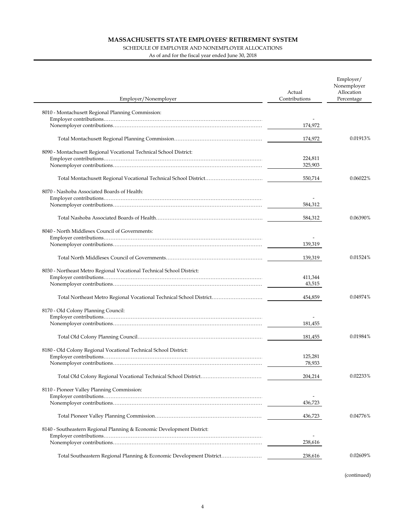#### SCHEDULE OF EMPLOYER AND NONEMPLOYER ALLOCATIONS

As of and for the fiscal year ended June 30, 2018

 $\overline{\phantom{a}}$ 

| Employer/Nonemployer                                                   | Actual<br>Contributions | Employer/<br>Nonemployer<br>Allocation<br>Percentage |
|------------------------------------------------------------------------|-------------------------|------------------------------------------------------|
| 8010 - Montachusett Regional Planning Commission:                      |                         |                                                      |
|                                                                        |                         |                                                      |
|                                                                        | 174,972                 |                                                      |
|                                                                        | 174,972                 | 0.01913%                                             |
| 8090 - Montachusett Regional Vocational Technical School District:     |                         |                                                      |
|                                                                        | 224,811                 |                                                      |
|                                                                        | 325,903                 |                                                      |
|                                                                        | 550,714                 | 0.06022%                                             |
| 8070 - Nashoba Associated Boards of Health:                            |                         |                                                      |
|                                                                        |                         |                                                      |
|                                                                        | 584,312                 |                                                      |
|                                                                        | 584,312                 | 0.06390%                                             |
| 8040 - North Middlesex Council of Governments:                         |                         |                                                      |
|                                                                        |                         |                                                      |
|                                                                        | 139,319                 |                                                      |
|                                                                        |                         |                                                      |
|                                                                        | 139,319                 | 0.01524%                                             |
| 8030 - Northeast Metro Regional Vocational Technical School District:  |                         |                                                      |
|                                                                        | 411,344                 |                                                      |
|                                                                        | 43,515                  |                                                      |
|                                                                        | 454,859                 | 0.04974%                                             |
| 8170 - Old Colony Planning Council:                                    |                         |                                                      |
|                                                                        |                         |                                                      |
|                                                                        | 181,455                 |                                                      |
|                                                                        | 181,455                 | 0.01984%                                             |
| 8180 - Old Colony Regional Vocational Technical School District:       |                         |                                                      |
|                                                                        | 125,281                 |                                                      |
|                                                                        | 78,933                  |                                                      |
|                                                                        | 204,214                 | 0.02233%                                             |
| 8110 - Pioneer Valley Planning Commission:                             |                         |                                                      |
|                                                                        |                         |                                                      |
|                                                                        | 436,723                 |                                                      |
|                                                                        | 436,723                 | 0.04776%                                             |
| 8140 - Southeastern Regional Planning & Economic Development District: |                         |                                                      |
|                                                                        |                         |                                                      |
|                                                                        | 238,616                 |                                                      |
| Total Southeastern Regional Planning & Economic Development District   | 238,616                 | 0.02609%                                             |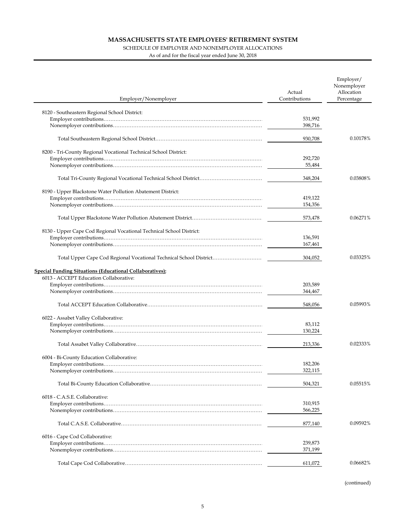#### SCHEDULE OF EMPLOYER AND NONEMPLOYER ALLOCATIONS

As of and for the fiscal year ended June 30, 2018

| Employer/Nonemployer                                                 | Actual<br>Contributions | Employer/<br>Nonemployer<br>Allocation<br>Percentage |
|----------------------------------------------------------------------|-------------------------|------------------------------------------------------|
|                                                                      |                         |                                                      |
| 8120 - Southeastern Regional School District:                        |                         |                                                      |
|                                                                      | 531,992                 |                                                      |
|                                                                      | 398,716                 |                                                      |
|                                                                      | 930,708                 | 0.10178%                                             |
|                                                                      |                         |                                                      |
| 8200 - Tri-County Regional Vocational Technical School District:     |                         |                                                      |
|                                                                      | 292,720                 |                                                      |
|                                                                      | 55,484                  |                                                      |
|                                                                      | 348,204                 | 0.03808%                                             |
|                                                                      |                         |                                                      |
| 8190 - Upper Blackstone Water Pollution Abatement District:          |                         |                                                      |
|                                                                      | 419,122                 |                                                      |
|                                                                      | 154,356                 |                                                      |
|                                                                      | 573,478                 | 0.06271%                                             |
|                                                                      |                         |                                                      |
| 8130 - Upper Cape Cod Regional Vocational Technical School District: |                         |                                                      |
|                                                                      | 136,591                 |                                                      |
|                                                                      | 167,461                 |                                                      |
|                                                                      | 304,052                 | 0.03325%                                             |
| <b>Special Funding Situations (Educational Collaboratives):</b>      |                         |                                                      |
| 6013 - ACCEPT Education Collaborative:                               |                         |                                                      |
|                                                                      | 203,589                 |                                                      |
|                                                                      | 344,467                 |                                                      |
|                                                                      | 548,056                 | 0.05993%                                             |
|                                                                      |                         |                                                      |
| 6022 - Assabet Valley Collaborative:                                 | 83,112                  |                                                      |
|                                                                      | 130,224                 |                                                      |
|                                                                      |                         |                                                      |
|                                                                      | 213,336                 | 0.02333%                                             |
| 6004 - Bi-County Education Collaborative:                            |                         |                                                      |
|                                                                      | 182,206                 |                                                      |
|                                                                      | 322,115                 |                                                      |
|                                                                      |                         |                                                      |
|                                                                      | 504,321                 | 0.05515%                                             |
| 6018 - C.A.S.E. Collaborative:                                       |                         |                                                      |
|                                                                      | 310,915                 |                                                      |
|                                                                      | 566,225                 |                                                      |
|                                                                      | 877,140                 | 0.09592%                                             |
|                                                                      |                         |                                                      |
| 6016 - Cape Cod Collaborative:                                       |                         |                                                      |
|                                                                      | 239,873                 |                                                      |
|                                                                      | 371,199                 |                                                      |
|                                                                      | 611,072                 | 0.06682%                                             |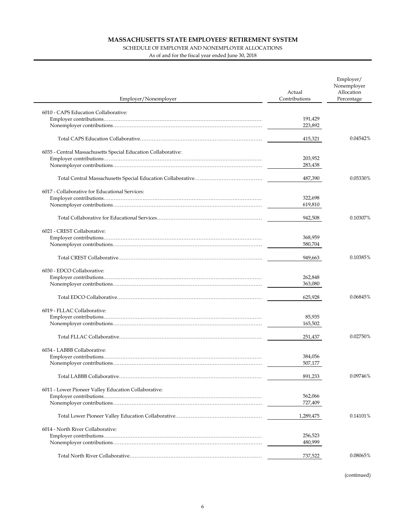### SCHEDULE OF EMPLOYER AND NONEMPLOYER ALLOCATIONS

As of and for the fiscal year ended June 30, 2018

÷,

| Employer/Nonemployer                                          | Actual<br>Contributions | Employer/<br>Nonemployer<br>Allocation<br>Percentage |
|---------------------------------------------------------------|-------------------------|------------------------------------------------------|
| 6010 - CAPS Education Collaborative:                          |                         |                                                      |
|                                                               | 191.429                 |                                                      |
|                                                               | 223,892                 |                                                      |
|                                                               |                         |                                                      |
|                                                               | 415,321                 | 0.04542%                                             |
| 6035 - Central Massachusetts Special Education Collaborative: |                         |                                                      |
|                                                               | 203,952                 |                                                      |
|                                                               | 283,438                 |                                                      |
|                                                               | 487,390                 | 0.05330%                                             |
| 6017 - Collaborative for Educational Services:                |                         |                                                      |
|                                                               | 322,698                 |                                                      |
|                                                               | 619,810                 |                                                      |
|                                                               | 942,508                 | 0.10307%                                             |
| 6021 - CREST Collaborative:                                   |                         |                                                      |
|                                                               | 368,959                 |                                                      |
|                                                               | 580,704                 |                                                      |
|                                                               | 949,663                 | 0.10385%                                             |
| 6030 - EDCO Collaborative:                                    |                         |                                                      |
|                                                               | 262,848                 |                                                      |
|                                                               | 363,080                 |                                                      |
|                                                               | 625,928                 | 0.06845%                                             |
| 6019 - FLLAC Collaborative:                                   |                         |                                                      |
|                                                               | 85,935                  |                                                      |
|                                                               | 165,502                 |                                                      |
|                                                               | 251,437                 | 0.02750%                                             |
| 6034 - LABBB Collaborative:                                   |                         |                                                      |
|                                                               | 384,056                 |                                                      |
|                                                               | 507,177                 |                                                      |
|                                                               | 891,233                 | 0.09746%                                             |
| 6011 - Lower Pioneer Valley Education Collaborative:          |                         |                                                      |
|                                                               | 562,066                 |                                                      |
|                                                               | 727,409                 |                                                      |
|                                                               | 1,289,475               | 0.14101%                                             |
| 6014 - North River Collaborative:                             |                         |                                                      |
|                                                               | 256,523                 |                                                      |
|                                                               | 480,999                 |                                                      |
|                                                               | 737,522                 | 0.08065%                                             |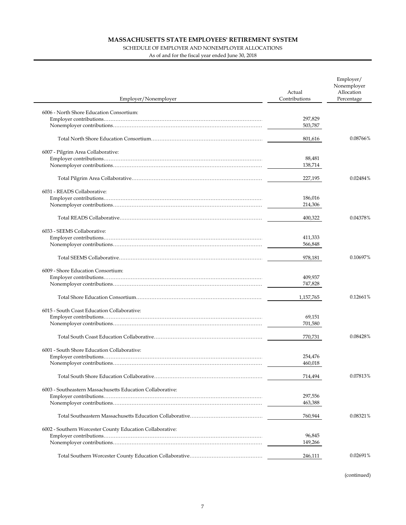### SCHEDULE OF EMPLOYER AND NONEMPLOYER ALLOCATIONS

As of and for the fiscal year ended June 30, 2018

| Employer/Nonemployer                                       | Actual<br>Contributions | Employer/<br>Nonemployer<br>Allocation<br>Percentage |
|------------------------------------------------------------|-------------------------|------------------------------------------------------|
| 6006 - North Shore Education Consortium:                   |                         |                                                      |
|                                                            | 297,829                 |                                                      |
|                                                            | 503,787                 |                                                      |
|                                                            | 801,616                 | 0.08766%                                             |
|                                                            |                         |                                                      |
| 6007 - Pilgrim Area Collaborative:                         | 88,481                  |                                                      |
|                                                            | 138,714                 |                                                      |
|                                                            |                         |                                                      |
|                                                            | 227,195                 | 0.02484%                                             |
| 6031 - READS Collaborative:                                |                         |                                                      |
|                                                            | 186,016                 |                                                      |
|                                                            | 214,306                 |                                                      |
|                                                            | 400,322                 | 0.04378%                                             |
|                                                            |                         |                                                      |
| 6033 - SEEMS Collaborative:                                |                         |                                                      |
|                                                            | 411,333<br>566,848      |                                                      |
|                                                            |                         |                                                      |
|                                                            | 978,181                 | 0.10697%                                             |
| 6009 - Shore Education Consortium:                         |                         |                                                      |
|                                                            | 409,937                 |                                                      |
|                                                            | 747,828                 |                                                      |
|                                                            | 1,157,765               | 0.12661%                                             |
|                                                            |                         |                                                      |
| 6015 - South Coast Education Collaborative:                |                         |                                                      |
|                                                            | 69,151<br>701,580       |                                                      |
|                                                            |                         |                                                      |
|                                                            | 770,731                 | 0.08428%                                             |
| 6001 - South Shore Education Collaborative:                |                         |                                                      |
|                                                            | 254,476                 |                                                      |
|                                                            | 460,018                 |                                                      |
|                                                            | 714,494                 | 0.07813%                                             |
|                                                            |                         |                                                      |
| 6003 - Southeastern Massachusetts Education Collaborative: | 297,556                 |                                                      |
|                                                            | 463,388                 |                                                      |
|                                                            |                         |                                                      |
|                                                            | 760,944                 | 0.08321%                                             |
| 6002 - Southern Worcester County Education Collaborative:  |                         |                                                      |
|                                                            | 96,845                  |                                                      |
|                                                            | 149,266                 |                                                      |
|                                                            | 246,111                 | 0.02691%                                             |
|                                                            |                         |                                                      |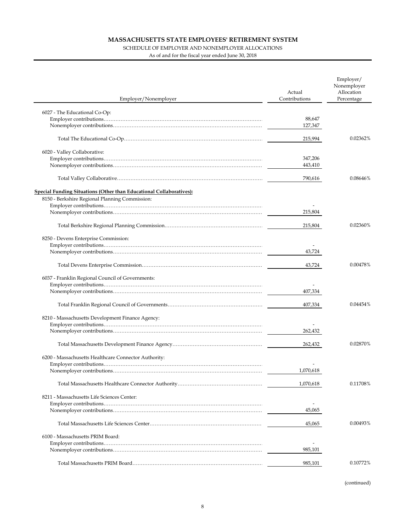### SCHEDULE OF EMPLOYER AND NONEMPLOYER ALLOCATIONS

As of and for the fiscal year ended June 30, 2018

| Employer/Nonemployer                                                       | Actual<br>Contributions | Employer/<br>Nonemployer<br>Allocation<br>Percentage |
|----------------------------------------------------------------------------|-------------------------|------------------------------------------------------|
|                                                                            |                         |                                                      |
| 6027 - The Educational Co-Op:                                              | 88,647                  |                                                      |
|                                                                            | 127,347                 |                                                      |
|                                                                            |                         |                                                      |
|                                                                            | 215,994                 | 0.02362%                                             |
| 6020 - Valley Collaborative:                                               |                         |                                                      |
|                                                                            | 347,206                 |                                                      |
|                                                                            | 443,410                 |                                                      |
|                                                                            | 790,616                 | 0.08646%                                             |
| <b>Special Funding Situations (Other than Educational Collaboratives):</b> |                         |                                                      |
| 8150 - Berkshire Regional Planning Commission:                             |                         |                                                      |
|                                                                            |                         |                                                      |
|                                                                            | 215,804                 |                                                      |
|                                                                            | 215,804                 | 0.02360%                                             |
| 8250 - Devens Enterprise Commission:                                       |                         |                                                      |
|                                                                            |                         |                                                      |
|                                                                            | 43,724                  |                                                      |
|                                                                            | 43,724                  | 0.00478%                                             |
| 6037 - Franklin Regional Council of Governments:                           |                         |                                                      |
|                                                                            |                         |                                                      |
|                                                                            | 407,334                 |                                                      |
|                                                                            | 407,334                 | 0.04454%                                             |
| 8210 - Massachusetts Development Finance Agency:                           |                         |                                                      |
|                                                                            |                         |                                                      |
|                                                                            | 262,432                 |                                                      |
|                                                                            | 262,432                 | 0.02870%                                             |
|                                                                            |                         |                                                      |
| 6200 - Massachusetts Healthcare Connector Authority:                       |                         |                                                      |
|                                                                            | 1,070,618               |                                                      |
|                                                                            | 1,070,618               | 0.11708%                                             |
|                                                                            |                         |                                                      |
| 8211 - Massachusetts Life Sciences Center:                                 |                         |                                                      |
|                                                                            | 45,065                  |                                                      |
|                                                                            |                         |                                                      |
|                                                                            | 45,065                  | 0.00493%                                             |
| 6100 - Massachusetts PRIM Board:                                           |                         |                                                      |
|                                                                            |                         |                                                      |
|                                                                            | 985,101                 |                                                      |
|                                                                            | 985,101                 | 0.10772%                                             |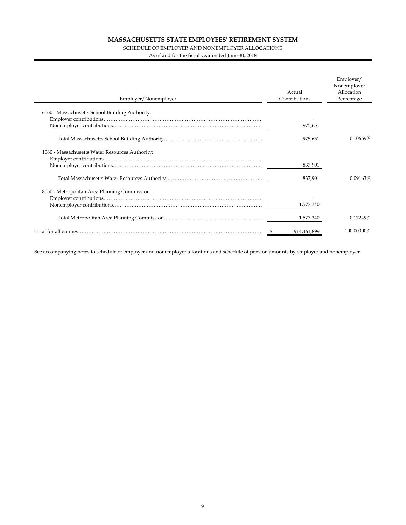### SCHEDULE OF EMPLOYER AND NONEMPLOYER ALLOCATIONS

As of and for the fiscal year ended June 30, 2018

| Employer/Nonemployer                            | Actual<br>Contributions | Employer/<br>Nonemployer<br>Allocation<br>Percentage |
|-------------------------------------------------|-------------------------|------------------------------------------------------|
| 6060 - Massachusetts School Building Authority: |                         |                                                      |
|                                                 |                         |                                                      |
|                                                 | 975,651                 |                                                      |
|                                                 | 975,651                 | 0.10669%                                             |
| 1080 - Massachusetts Water Resources Authority: |                         |                                                      |
|                                                 |                         |                                                      |
|                                                 | 837.901                 |                                                      |
|                                                 | 837,901                 | 0.09163%                                             |
| 8050 - Metropolitan Area Planning Commission:   |                         |                                                      |
|                                                 |                         |                                                      |
|                                                 | 1,577,340               |                                                      |
|                                                 | 1,577,340               | 0.17249%                                             |
|                                                 | 914,461,899             | 100.00000%                                           |

See accompanying notes to schedule of employer and nonemployer allocations and schedule of pension amounts by employer and nonemployer.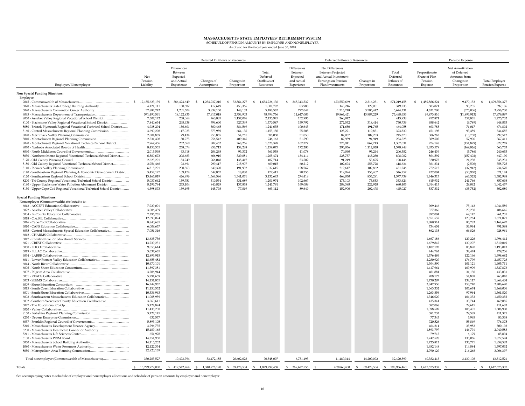# **MASSACHUSETTS STATE EMPLOYEES' RETIREMENT SYSTEM** SCHEDULE OF PENSION AMOUNTS BY EMPLOYER AND NONEMPLOYER

As of and for the fiscal year ended June 30, 2018

|                                                                                                           |                                |                                                                | Deferred Outflows of Resources<br>Deferred Inflows of Resources |                          |                                               | Pension Expense                                                |                                                                                                          |                          |                                              |                                                      |                                                                             |                                          |
|-----------------------------------------------------------------------------------------------------------|--------------------------------|----------------------------------------------------------------|-----------------------------------------------------------------|--------------------------|-----------------------------------------------|----------------------------------------------------------------|----------------------------------------------------------------------------------------------------------|--------------------------|----------------------------------------------|------------------------------------------------------|-----------------------------------------------------------------------------|------------------------------------------|
| Employer/Nonemployer                                                                                      | Net<br>Pension<br>Liability    | Differences<br>Between<br>Expected<br>and Actual<br>Experience | Changes of<br>Assumptions                                       | Changes in<br>Proportion | Total<br>Deferred<br>Outflows of<br>Resources | Differences<br>Between<br>Expected<br>and Actual<br>Experience | Net Differences<br>Between Projected<br>and Actual Investment<br>Earnings on Pension<br>Plan Investments | Changes in<br>Proportion | Total<br>Deferred<br>Inflows of<br>Resources | Proportionate<br>Share of Plan<br>Pension<br>Expense | Net Amortization<br>of Deferred<br>Amounts from<br>Changes in<br>Proportion | <b>Total Employer</b><br>Pension Expense |
| Non Special Funding Situations:                                                                           |                                |                                                                |                                                                 |                          |                                               |                                                                |                                                                                                          |                          |                                              |                                                      |                                                                             |                                          |
| Employer:                                                                                                 |                                |                                                                |                                                                 |                          |                                               |                                                                |                                                                                                          |                          |                                              |                                                      |                                                                             |                                          |
|                                                                                                           | 12,185,623,139<br>$\mathbb{S}$ | $\mathbb{S}$<br>386,424,649<br>130,687                         | 1,234,937,210<br>- \$                                           | 32,864,277<br>-S         | 1,654,226,136<br>-S                           | 248,343,537<br>S.                                              | 423,559,669<br>$\mathbb{S}$<br>143,246                                                                   | \$<br>2,316,251          | 674,219,458<br>-S<br>349,235                 | 1,489,886,224<br>S                                   | 9,470,153<br>- S                                                            | 1,499,356,377<br>S                       |
| 6070 - Massachusetts State College Building Authority<br>6090 - Massachusetts Convention Center Authority | 4,121,111<br>37,882,242        | 1,201,304                                                      | 417,649<br>3,839,130                                            | 453,366<br>148,133       | 1,001,702<br>5,188,567                        | 83,988<br>772,042                                              | 1,316,748                                                                                                | 122,001<br>3,585,442     | 5,674,231                                    | 503,871<br>4,631,706                                 | 93,235<br>(675,006)                                                         | 597,106<br>3,956,700                     |
| 9045 - Massachusetts Department of Transportation                                                         | 571,490,561                    | 18,122,835                                                     | 57,917,018                                                      | 2,754,903                | 78,794,756                                    | 11,647,003                                                     | 19,864,421                                                                                               | 43,987,229               | 75,498,653                                   | 69,873,810                                           | (11,893,913)                                                                | 57,979,897                               |
| 8060 - Assabet Valley Regional Vocational School District                                                 | 7,507,172                      | 238,064                                                        | 760,805                                                         | 1,137,076                | 2,135,945                                     | 152,996                                                        | 260,942                                                                                                  |                          | 413,938                                      | 917,871                                              | 357,861                                                                     | 1,275,732                                |
| 8100 - Blackstone Valley Regional Vocational School District                                              | 7,840,634                      | 248,638                                                        | 794,600                                                         | 327,349                  | 1,370,587                                     | 159,792                                                        | 272,532                                                                                                  | 318,414                  | 750,739                                      | 958,642                                              | (9,789)                                                                     | 948,853                                  |
| 8080 - Bristol/Plymouth Regional Vocational Technical School District                                     | 4.938.294                      | 156.601                                                        | 500.465                                                         | 584,569                  | 1,241,635                                     | 100.643                                                        | 171,650                                                                                                  | 191.765                  | 464,058                                      | 603.785                                              | 71,017                                                                      | 674,802                                  |
| 8160 - Central Massachusetts Regional Planning Commission                                                 | 3,690,298                      | 117,025                                                        | 373,989                                                         | 664,136                  | 1,155,150                                     | 75,208                                                         | 128,271                                                                                                  | 119,851                  | 323,330                                      | 451,198                                              | 93,489                                                                      | 544,687                                  |
| 8010 - Montachusett Regional Planning Commission                                                          | 2,504,889<br>2,531,408         | 79,434<br>80,275                                               | 253,855<br>256,542                                              | 54,761<br>409,346        | 388,050<br>746,163                            | 51,050<br>51,590                                               | 87,067<br>87,989                                                                                         | 107,253<br>94,949        | 245,370<br>234,528                           | 306,262<br>309,505                                   | (13, 750)<br>57,906                                                         | 292,512<br>367,411                       |
| 8090 - Montachusett Regional Vocational Technical School District                                         | 7,967,456                      | 252.660                                                        | 807,452                                                         | 268,266                  | 1.328,378                                     | 162.377                                                        | 276,941                                                                                                  | 867,713                  | 1,307,031                                    | 974,148                                              | (151, 879)                                                                  | 822,269                                  |
|                                                                                                           | 8,453,535                      | 268.074                                                        | 856,713                                                         | 134,288                  | 1.259.075                                     | 172.283                                                        | 293.836                                                                                                  | 1.112.828                | 1,578,948                                    | 1.033,579                                            | (469, 826)                                                                  | 563,753                                  |
| 8040 - North Middlesex Council of Governments                                                             | 2,015,598                      | 63,918                                                         | 204,268                                                         | 93,372                   | 361,558                                       | 41,078                                                         | 70,060                                                                                                   | 95,244                   | 206,382                                      | 246,439                                              | (5,786)                                                                     | 240,653                                  |
| 8030 - Northeast Metro Regional Vocational Technical School District                                      | 6,580,673                      | 208,683                                                        | 666,910                                                         | 329,881                  | 1,205,474                                     | 134,114                                                        | 228,737                                                                                                  | 445.230                  | 808,082                                      | 804,592                                              | (157, 402)                                                                  | 647,190                                  |
|                                                                                                           | 2,625,201                      | 83,249                                                         | 266,048                                                         | 138,417                  | 487,714                                       | 53,502                                                         | 91.249                                                                                                   | 53,695                   | 198,446                                      | 320.973                                              | 24,258                                                                      | 345,231                                  |
| 8180 - Old Colony Regional Vocational Technical School District                                           | 2,954,466<br>6,318,291         | 93,691<br>200,363                                              | 299,417<br>640,320                                              | 215,907<br>191,932       | 609,015<br>1,032,615                          | 60,212<br>128,767                                              | 102,694<br>219,617                                                                                       | 255,728<br>102,862       | 418,634<br>451,246                           | 361,231<br>772,512                                   | (2,506)<br>(37, 942)                                                        | 358,725<br>734,570                       |
| 8140 - Southeastern Regional Planning & Economic Development District                                     | 3,452,177                      | 109,474                                                        | 349,857                                                         | 18,080                   | 477,411                                       | 70,356                                                         | 119,994                                                                                                  | 156,407                  | 346,757                                      | 422,084                                              | (50, 960)                                                                   | 371,124                                  |
|                                                                                                           | 13,465,019                     | 426,996                                                        | 1,364,596                                                       | 1,341,051                | 3,132,643                                     | 274,418                                                        | 468,030                                                                                                  | 835,291                  | 1,577,739                                    | 1,646,313                                            | (63, 325)                                                                   | 1,582,988                                |
| 8200 - Tri-County Regional Vocational Technical School District                                           | 5,037,642                      | 159,751                                                        | 510,534                                                         | 531,689                  | 1,201,974                                     | 102,667                                                        | 175,103                                                                                                  | 75,853                   | 353,624                                      | 615,932                                              | 241,766                                                                     | 857,698                                  |
| 8190 - Upper Blackstone Water Pollution Abatement District                                                | 8,296,794                      | 263.104                                                        | 840.829                                                         | 137,858                  | 1,241,791                                     | 169,089                                                        | 288,388                                                                                                  | 222,928                  | 680,405                                      | 1,014,415                                            | 28.042                                                                      | 1,042,457                                |
| 8130 - Upper Cape Cod Regional Vocational Technical School District                                       | 4,398,873                      | 139,495                                                        | 445,798                                                         | 77,819                   | 663,112                                       | 89,649                                                         | 152,900                                                                                                  | 202,478                  | 445,027                                      | 537,832                                              | (35, 752)                                                                   | 502,080                                  |
| <b>Special Funding Situations:</b>                                                                        |                                |                                                                |                                                                 |                          |                                               |                                                                |                                                                                                          |                          |                                              |                                                      |                                                                             |                                          |
| Nonemployer (Commonwealth) attributable to:                                                               |                                |                                                                |                                                                 |                          |                                               |                                                                |                                                                                                          |                          |                                              |                                                      |                                                                             |                                          |
|                                                                                                           | 7,929,001                      |                                                                |                                                                 |                          |                                               |                                                                |                                                                                                          |                          |                                              | 969,446                                              | 75,143                                                                      | 1,044,589                                |
|                                                                                                           | 3,086,439                      |                                                                |                                                                 |                          |                                               |                                                                |                                                                                                          |                          |                                              | 377,366                                              | 29,250                                                                      | 406,616                                  |
|                                                                                                           | 7,296,265<br>12,690,024        |                                                                |                                                                 |                          |                                               |                                                                |                                                                                                          |                          |                                              | 892,084<br>1,551,557                                 | 69,147<br>120,264                                                           | 961,231<br>1,671,821                     |
|                                                                                                           | 8,840,685                      |                                                                |                                                                 |                          |                                               |                                                                |                                                                                                          |                          |                                              | 1,080,914                                            | 83,783                                                                      | 1,164,697                                |
|                                                                                                           | 6,008,657                      |                                                                |                                                                 |                          |                                               |                                                                |                                                                                                          |                          |                                              | 734,654                                              | 56,944                                                                      | 791,598                                  |
| 6035 - Central Massachusetts Special Education Collaborative                                              | 7,051,316                      |                                                                |                                                                 |                          |                                               |                                                                |                                                                                                          |                          |                                              | 862,135                                              | 66,826                                                                      | 928,961                                  |
|                                                                                                           |                                |                                                                |                                                                 |                          |                                               |                                                                |                                                                                                          |                          |                                              |                                                      |                                                                             |                                          |
|                                                                                                           | 13,635,736                     |                                                                |                                                                 |                          |                                               |                                                                |                                                                                                          |                          |                                              | 1,667,186                                            | 129,226                                                                     | 1,796,412                                |
|                                                                                                           | 13,739,251<br>9,055,614        |                                                                |                                                                 |                          |                                               |                                                                |                                                                                                          |                          |                                              | 1,679,842<br>1,107,193                               | 130,207<br>85,820                                                           | 1,810,049<br>1,193,013                   |
|                                                                                                           | 3,637,665                      |                                                                |                                                                 |                          |                                               |                                                                |                                                                                                          |                          |                                              | 444,762                                              | 34,474                                                                      | 479,236                                  |
|                                                                                                           | 12,893,915                     |                                                                |                                                                 |                          |                                               |                                                                |                                                                                                          |                          |                                              | 1,576,486                                            | 122,196                                                                     | 1,698,682                                |
| 6011 - Lower Pioneer Valley Education Collaborative                                                       | 18,655,482                     |                                                                |                                                                 |                          |                                               |                                                                |                                                                                                          |                          |                                              | 2,280,929                                            | 176,799                                                                     | 2,457,728                                |
|                                                                                                           | 10,670,101                     |                                                                |                                                                 |                          |                                               |                                                                |                                                                                                          |                          |                                              | 1,304,590                                            | 101,121                                                                     | 1,405,711                                |
|                                                                                                           | 11,597,381                     |                                                                |                                                                 |                          |                                               |                                                                |                                                                                                          |                          |                                              | 1,417,964                                            | 109,909                                                                     | 1,527,873                                |
|                                                                                                           | 3,286,944<br>5,791,659         |                                                                |                                                                 |                          |                                               |                                                                |                                                                                                          |                          |                                              | 401,881<br>708,122                                   | 31,150<br>54,888                                                            | 433,031<br>763,010                       |
|                                                                                                           | 14,151,835                     |                                                                |                                                                 |                          |                                               |                                                                |                                                                                                          |                          |                                              | 1,730,287                                            | 134,117                                                                     | 1,864,404                                |
|                                                                                                           | 16,749,967                     |                                                                |                                                                 |                          |                                               |                                                                |                                                                                                          |                          |                                              | 2,047,950                                            | 158,740                                                                     | 2,206,690                                |
|                                                                                                           | 11,150,552                     |                                                                |                                                                 |                          |                                               |                                                                |                                                                                                          |                          |                                              | 1,363,332                                            | 105,674                                                                     | 1,469,006                                |
|                                                                                                           | 10,336,943                     |                                                                |                                                                 |                          |                                               |                                                                |                                                                                                          |                          |                                              | 1,263,856                                            | 97,964                                                                      | 1,361,820                                |
| 6003 - Southeastern Massachusetts Education Collaborative                                                 | 11,008,959<br>3,560,611        |                                                                |                                                                 |                          |                                               |                                                                |                                                                                                          |                          |                                              | 1,346,020<br>435,341                                 | 104,332<br>33,744                                                           | 1,450,352<br>469,085                     |
| 6002 - Southern Worcester County Education Collaborative                                                  | 3,124,894                      |                                                                |                                                                 |                          |                                               |                                                                |                                                                                                          |                          |                                              | 382,068                                              | 29,615                                                                      | 411,683                                  |
|                                                                                                           | 11,438,238                     |                                                                |                                                                 |                          |                                               |                                                                |                                                                                                          |                          |                                              | 1,398,507                                            | 108,401                                                                     | 1,506,908                                |
|                                                                                                           | 3,122,145                      |                                                                |                                                                 |                          |                                               |                                                                |                                                                                                          |                          |                                              | 381,732                                              | 29,589                                                                      | 411,321                                  |
|                                                                                                           | 632,577                        |                                                                |                                                                 |                          |                                               |                                                                |                                                                                                          |                          |                                              | 77,343                                               | 5,995                                                                       | 83,338                                   |
| 6037 - Franklin Regional Council of Governments                                                           | 5,893,105                      |                                                                |                                                                 |                          |                                               |                                                                |                                                                                                          |                          |                                              | 720,526                                              | 55,849                                                                      | 776,375                                  |
| 8210 - Massachusetts Development Finance Agency                                                           | 3,796,735<br>15,489,168        |                                                                |                                                                 |                          |                                               |                                                                |                                                                                                          |                          |                                              | 464,211<br>1,893,797                                 | 35,982<br>146,791                                                           | 500,193<br>2,040,588                     |
| 6200 - Massachusetts Healthcare Connector Authority                                                       | 651,978                        |                                                                |                                                                 |                          |                                               |                                                                |                                                                                                          |                          |                                              | 79,715                                               | 6,179                                                                       | 85,894                                   |
|                                                                                                           | 14,251,950                     |                                                                |                                                                 |                          |                                               |                                                                |                                                                                                          |                          |                                              | 1,742,528                                            | 135,066                                                                     | 1,877,594                                |
| 6060 - Massachusetts School Building Authority                                                            | 14,115,232                     |                                                                |                                                                 |                          |                                               |                                                                |                                                                                                          |                          |                                              | 1,725,812                                            | 133,771                                                                     | 1,859,583                                |
| 1080 - Massachusetts Water Resources Authority                                                            | 12,122,334                     |                                                                |                                                                 |                          |                                               |                                                                |                                                                                                          |                          |                                              | 1,482,148                                            | 114,884                                                                     | 1,597,032                                |
|                                                                                                           | 22,820,169                     |                                                                |                                                                 |                          |                                               |                                                                |                                                                                                          |                          |                                              | 2,790,129                                            | 216,268                                                                     | 3,006,397                                |
| Total nonemployer (Commonwealth of Massachusetts)                                                         | 330,283,527                    | 10,473,794                                                     | 33,472,185                                                      | 26,602,028               | 70,548,007                                    | 6,731,193                                                      | 11,480,314                                                                                               | 14,209,092               | 32,420,599                                   | 40,382,413                                           | 3,130,108                                                                   | 43,512,521                               |
| Totals.                                                                                                   | 13,229,979,000<br>S            | \$419,542,764                                                  | \$ 1,340,776,190                                                | \$ 69,478,504            | \$ 1,829,797,458                              | \$269,627,556                                                  | 459,860,400                                                                                              | \$<br>69,478,504         | S<br>798,966,460                             | $\mathbb{S}$<br>1,617,575,337                        | $\mathbf{s}$                                                                | \$ 1,617,575,337                         |

See accompanying notes to schedule of employer and nonemployer allocations and schedule of pension amounts by employer and nonemployer.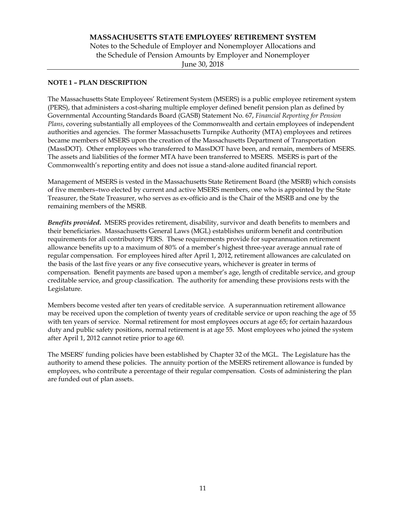## **NOTE 1 – PLAN DESCRIPTION**

The Massachusetts State Employees' Retirement System (MSERS) is a public employee retirement system (PERS), that administers a cost-sharing multiple employer defined benefit pension plan as defined by Governmental Accounting Standards Board (GASB) Statement No. 67, *Financial Reporting for Pension Plans*, covering substantially all employees of the Commonwealth and certain employees of independent authorities and agencies. The former Massachusetts Turnpike Authority (MTA) employees and retirees became members of MSERS upon the creation of the Massachusetts Department of Transportation (MassDOT). Other employees who transferred to MassDOT have been, and remain, members of MSERS. The assets and liabilities of the former MTA have been transferred to MSERS. MSERS is part of the Commonwealth's reporting entity and does not issue a stand-alone audited financial report.

Management of MSERS is vested in the Massachusetts State Retirement Board (the MSRB) which consists of five members–two elected by current and active MSERS members, one who is appointed by the State Treasurer, the State Treasurer, who serves as ex-officio and is the Chair of the MSRB and one by the remaining members of the MSRB.

*Benefits provided***.** MSERS provides retirement, disability, survivor and death benefits to members and their beneficiaries. Massachusetts General Laws (MGL) establishes uniform benefit and contribution requirements for all contributory PERS. These requirements provide for superannuation retirement allowance benefits up to a maximum of 80% of a member's highest three-year average annual rate of regular compensation. For employees hired after April 1, 2012, retirement allowances are calculated on the basis of the last five years or any five consecutive years, whichever is greater in terms of compensation. Benefit payments are based upon a member's age, length of creditable service, and group creditable service, and group classification. The authority for amending these provisions rests with the Legislature.

Members become vested after ten years of creditable service. A superannuation retirement allowance may be received upon the completion of twenty years of creditable service or upon reaching the age of 55 with ten years of service. Normal retirement for most employees occurs at age 65; for certain hazardous duty and public safety positions, normal retirement is at age 55. Most employees who joined the system after April 1, 2012 cannot retire prior to age 60.

The MSERS' funding policies have been established by Chapter 32 of the MGL. The Legislature has the authority to amend these policies. The annuity portion of the MSERS retirement allowance is funded by employees, who contribute a percentage of their regular compensation. Costs of administering the plan are funded out of plan assets.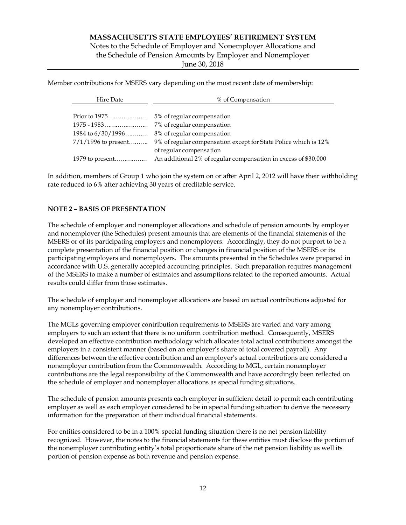Notes to the Schedule of Employer and Nonemployer Allocations and the Schedule of Pension Amounts by Employer and Nonemployer

June 30, 2018

Member contributions for MSERS vary depending on the most recent date of membership:

| Hire Date             | % of Compensation                                               |  |  |  |
|-----------------------|-----------------------------------------------------------------|--|--|--|
|                       |                                                                 |  |  |  |
|                       |                                                                 |  |  |  |
|                       | 7% of regular compensation                                      |  |  |  |
| 1984 to $6/30/1996$   | 8% of regular compensation                                      |  |  |  |
| $7/1/1996$ to present | 9% of regular compensation except for State Police which is 12% |  |  |  |
|                       | of regular compensation                                         |  |  |  |
| 1979 to present       | An additional 2% of regular compensation in excess of \$30,000  |  |  |  |

In addition, members of Group 1 who join the system on or after April 2, 2012 will have their withholding rate reduced to 6% after achieving 30 years of creditable service.

## **NOTE 2 – BASIS OF PRESENTATION**

The schedule of employer and nonemployer allocations and schedule of pension amounts by employer and nonemployer (the Schedules) present amounts that are elements of the financial statements of the MSERS or of its participating employers and nonemployers. Accordingly, they do not purport to be a complete presentation of the financial position or changes in financial position of the MSERS or its participating employers and nonemployers. The amounts presented in the Schedules were prepared in accordance with U.S. generally accepted accounting principles. Such preparation requires management of the MSERS to make a number of estimates and assumptions related to the reported amounts. Actual results could differ from those estimates.

The schedule of employer and nonemployer allocations are based on actual contributions adjusted for any nonemployer contributions.

The MGLs governing employer contribution requirements to MSERS are varied and vary among employers to such an extent that there is no uniform contribution method. Consequently, MSERS developed an effective contribution methodology which allocates total actual contributions amongst the employers in a consistent manner (based on an employer's share of total covered payroll). Any differences between the effective contribution and an employer's actual contributions are considered a nonemployer contribution from the Commonwealth. According to MGL, certain nonemployer contributions are the legal responsibility of the Commonwealth and have accordingly been reflected on the schedule of employer and nonemployer allocations as special funding situations.

The schedule of pension amounts presents each employer in sufficient detail to permit each contributing employer as well as each employer considered to be in special funding situation to derive the necessary information for the preparation of their individual financial statements.

For entities considered to be in a 100% special funding situation there is no net pension liability recognized. However, the notes to the financial statements for these entities must disclose the portion of the nonemployer contributing entity's total proportionate share of the net pension liability as well its portion of pension expense as both revenue and pension expense.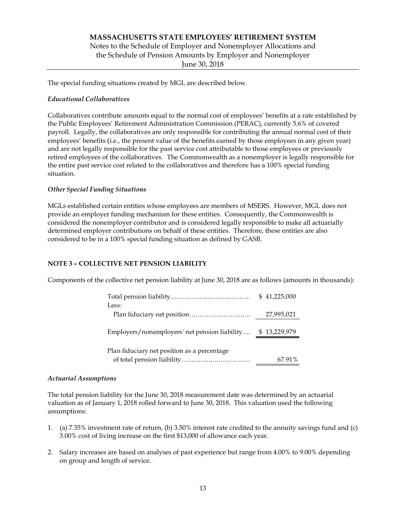# **MASSACHUSETTS STATE EMPLOYEES' RETIREMENT SYSTEM**  Notes to the Schedule of Employer and Nonemployer Allocations and the Schedule of Pension Amounts by Employer and Nonemployer June 30, 2018

The special funding situations created by MGL are described below.

## *Educational Collaboratives*

Collaboratives contribute amounts equal to the normal cost of employees' benefits at a rate established by the Public Employees' Retirement Administration Commission (PERAC), currently 5.6% of covered payroll. Legally, the collaboratives are only responsible for contributing the annual normal cost of their employees' benefits (i.e., the present value of the benefits earned by those employees in any given year) and are not legally responsible for the past service cost attributable to those employees or previously retired employees of the collaboratives. The Commonwealth as a nonemployer is legally responsible for the entire past service cost related to the collaboratives and therefore has a 100% special funding situation.

## *Other Special Funding Situations*

MGLs established certain entities whose employees are members of MSERS. However, MGL does not provide an employer funding mechanism for these entities. Consequently, the Commonwealth is considered the nonemployer contributor and is considered legally responsible to make all actuarially determined employer contributions on behalf of these entities. Therefore, these entities are also considered to be in a 100% special funding situation as defined by GASB.

## **NOTE 3 – COLLECTIVE NET PENSION LIABILITY**

Components of the collective net pension liability at June 30, 2018 are as follows (amounts in thousands):

|                                               | \$41,225,000 |
|-----------------------------------------------|--------------|
| Less:                                         | 27,995,021   |
| Employers/nonemployers' net pension liability | \$13,229,979 |
| Plan fiduciary net position as a percentage   | 67.91%       |

## *Actuarial Assumptions*

The total pension liability for the June 30, 2018 measurement date was determined by an actuarial valuation as of January 1, 2018 rolled forward to June 30, 2018. This valuation used the following assumptions:

- 1. (a) 7.35% investment rate of return, (b) 3.50% interest rate credited to the annuity savings fund and (c) 3.00% cost of living increase on the first \$13,000 of allowance each year.
- 2. Salary increases are based on analyses of past experience but range from 4.00% to 9.00% depending on group and length of service.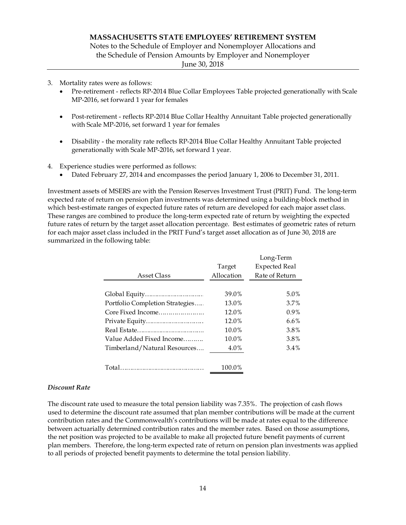Notes to the Schedule of Employer and Nonemployer Allocations and the Schedule of Pension Amounts by Employer and Nonemployer

June 30, 2018

- 3. Mortality rates were as follows:
	- Pre-retirement reflects RP-2014 Blue Collar Employees Table projected generationally with Scale MP-2016, set forward 1 year for females
	- Post-retirement reflects RP-2014 Blue Collar Healthy Annuitant Table projected generationally with Scale MP-2016, set forward 1 year for females
	- Disability the morality rate reflects RP-2014 Blue Collar Healthy Annuitant Table projected generationally with Scale MP-2016, set forward 1 year.
- 4. Experience studies were performed as follows:
	- Dated February 27, 2014 and encompasses the period January 1, 2006 to December 31, 2011.

Investment assets of MSERS are with the Pension Reserves Investment Trust (PRIT) Fund. The long-term expected rate of return on pension plan investments was determined using a building-block method in which best-estimate ranges of expected future rates of return are developed for each major asset class. These ranges are combined to produce the long-term expected rate of return by weighting the expected future rates of return by the target asset allocation percentage. Best estimates of geometric rates of return for each major asset class included in the PRIT Fund's target asset allocation as of June 30, 2018 are summarized in the following table:

|                                 |            | Long-Term            |
|---------------------------------|------------|----------------------|
|                                 | Target     | <b>Expected Real</b> |
| Asset Class                     | Allocation | Rate of Return       |
|                                 |            |                      |
|                                 | 39.0%      | $5.0\%$              |
| Portfolio Completion Strategies | 13.0%      | 3.7%                 |
| Core Fixed Income               | 12.0%      | $0.9\%$              |
|                                 | 12.0%      | $6.6\%$              |
|                                 | 10.0%      | 3.8%                 |
| Value Added Fixed Income        | 10.0%      | 3.8%                 |
| Timberland/Natural Resources    | 4.0%       | $3.4\%$              |
|                                 |            |                      |
|                                 | 100.0%     |                      |

## *Discount Rate*

The discount rate used to measure the total pension liability was 7.35%. The projection of cash flows used to determine the discount rate assumed that plan member contributions will be made at the current contribution rates and the Commonwealth's contributions will be made at rates equal to the difference between actuarially determined contribution rates and the member rates. Based on those assumptions, the net position was projected to be available to make all projected future benefit payments of current plan members. Therefore, the long-term expected rate of return on pension plan investments was applied to all periods of projected benefit payments to determine the total pension liability.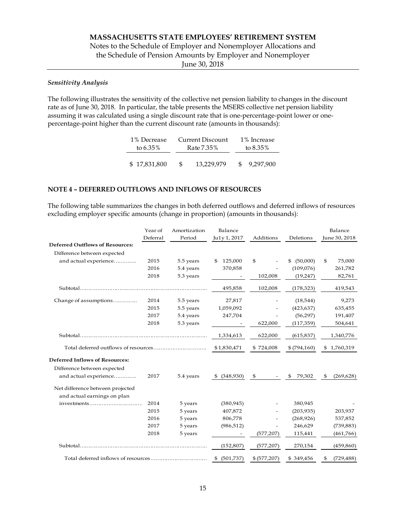# Notes to the Schedule of Employer and Nonemployer Allocations and the Schedule of Pension Amounts by Employer and Nonemployer

June 30, 2018

## *Sensitivity Analysis*

The following illustrates the sensitivity of the collective net pension liability to changes in the discount rate as of June 30, 2018. In particular, the table presents the MSERS collective net pension liability assuming it was calculated using a single discount rate that is one-percentage-point lower or onepercentage-point higher than the current discount rate (amounts in thousands):

| 1% Decrease  |            | Current Discount |      | 1% Increase |  |             |
|--------------|------------|------------------|------|-------------|--|-------------|
| to $6.35\%$  | Rate 7.35% |                  |      |             |  | to $8.35\%$ |
|              |            |                  |      |             |  |             |
| \$17,831,800 | -SS        | 13,229,979       | -SS- | 9.297.900   |  |             |

### **NOTE 4 – DEFERRED OUTFLOWS AND INFLOWS OF RESOURCES**

The following table summarizes the changes in both deferred outflows and deferred inflows of resources excluding employer specific amounts (change in proportion) (amounts in thousands):

|                                        | Year of  | Amortization | Balance         |               |                | Balance          |
|----------------------------------------|----------|--------------|-----------------|---------------|----------------|------------------|
|                                        | Deferral | Period       | Ju1y 1, 2017    | Additions     | Deletions      | June 30, 2018    |
| <b>Deferred Outflows of Resources:</b> |          |              |                 |               |                |                  |
| Difference between expected            |          |              |                 |               |                |                  |
| and actual experience                  | 2015     | 5.5 years    | 125,000<br>\$   | \$            | (50,000)<br>\$ | 75,000<br>\$     |
|                                        | 2016     | 5.4 years    | 370,858         |               | (109,076)      | 261,782          |
|                                        | 2018     | 5.3 years    |                 | 102,008       | (19,247)       | 82,761           |
| Subtotal                               |          |              | 495,858         | 102,008       | (178, 323)     | 419,543          |
| Change of assumptions                  | 2014     | 5.5 years    | 27,817          |               | (18, 544)      | 9,273            |
|                                        | 2015     | 5.5 years    | 1,059,092       |               | (423, 637)     | 635,455          |
|                                        | 2017     | 5.4 years    | 247,704         |               | (56, 297)      | 191,407          |
|                                        | 2018     | 5.3 years    |                 | 622,000       | (117, 359)     | 504,641          |
|                                        |          |              | 1,334,613       | 622,000       | (615, 837)     | 1,340,776        |
|                                        |          | \$1,830,471  | \$724,008       | \$ (794, 160) | \$1,760,319    |                  |
| <b>Deferred Inflows of Resources:</b>  |          |              |                 |               |                |                  |
| Difference between expected            |          |              |                 |               |                |                  |
| and actual experience                  | 2017     | 5.4 years    | (348,930)<br>\$ | \$            | 79,302<br>\$   | \$<br>(269, 628) |
| Net difference between projected       |          |              |                 |               |                |                  |
| and actual earnings on plan            |          |              |                 |               |                |                  |
| investments                            | 2014     | 5 years      | (380, 945)      |               | 380,945        |                  |
|                                        | 2015     | 5 years      | 407,872         |               | (203, 935)     | 203,937          |
|                                        | 2016     | 5 years      | 806,778         |               | (268, 926)     | 537,852          |
|                                        | 2017     | 5 years      | (986, 512)      |               | 246,629        | (739, 883)       |
|                                        | 2018     | 5 years      |                 | (577, 207)    | 115,441        | (461,766)        |
| Subtotal                               |          |              | (152, 807)      | (577, 207)    | 270,154        | (459, 860)       |
|                                        |          | \$ (501,737) | \$ (577,207)    | \$349,456     | (729, 488)     |                  |